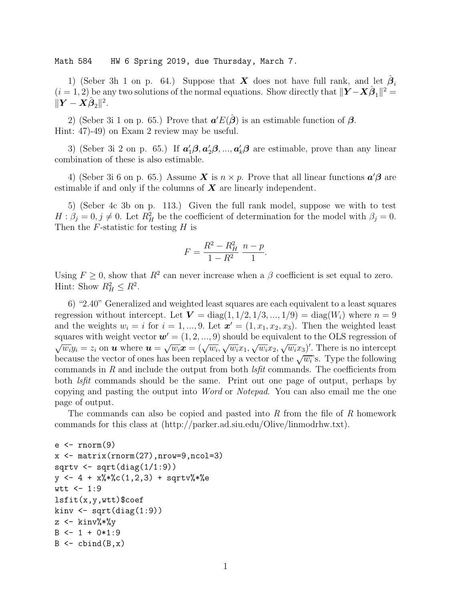Math 584 HW 6 Spring 2019, due Thursday, March 7.

1) (Seber 3h 1 on p. 64.) Suppose that X does not have full rank, and let  $\hat{\beta}_i$  $(i = 1, 2)$  be any two solutions of the normal equations. Show directly that  $||\boldsymbol{Y} - \boldsymbol{X}\hat{\boldsymbol{\beta}}_1||^2 =$  $\|\boldsymbol{Y}-\boldsymbol{X}\hat{\boldsymbol{\beta}}_2\|^2.$ 

2) (Seber 3i 1 on p. 65.) Prove that  $a'E(\hat{\beta})$  is an estimable function of  $\beta$ . Hint: 47)-49) on Exam 2 review may be useful.

3) (Seber 3i 2 on p. 65.) If  $a'_1 \beta, a'_2 \beta, ..., a'_k \beta$  are estimable, prove than any linear combination of these is also estimable.

4) (Seber 3i 6 on p. 65.) Assume  $\boldsymbol{X}$  is  $n \times p$ . Prove that all linear functions  $\boldsymbol{a}'\boldsymbol{\beta}$  are estimable if and only if the columns of  $X$  are linearly independent.

5) (Seber 4c 3b on p. 113.) Given the full rank model, suppose we with to test  $H: \beta_j = 0, j \neq 0$ . Let  $R_H^2$  be the coefficient of determination for the model with  $\beta_j = 0$ . Then the  $F$ -statistic for testing  $H$  is

$$
F = \frac{R^2 - R_H^2}{1 - R^2} \frac{n - p}{1}.
$$

Using  $F \geq 0$ , show that  $R^2$  can never increase when a  $\beta$  coefficient is set equal to zero. Hint: Show  $R_H^2 \leq R^2$ .

6) "2.40" Generalized and weighted least squares are each equivalent to a least squares regression without intercept. Let  $V = diag(1, 1/2, 1/3, ..., 1/9) = diag(W_i)$  where  $n = 9$ and the weights  $w_i = i$  for  $i = 1, ..., 9$ . Let  $\mathbf{x}' = (1, x_1, x_2, x_3)$ . Then the weighted least squares with weight vector  $\mathbf{w}' = (1, 2, ..., 9)$  should be equivalent to the OLS regression of  $\sqrt{w_i}y_i = z_i$  on **u** where  $u = \sqrt{w_i}x = (\sqrt{w_i}, \sqrt{w_i}x_1, \sqrt{w_i}x_2, \sqrt{w_i}x_3)'$ . There is no intercept because the vector of ones has been replaced by a vector of the  $\sqrt{w_i}$ 's. Type the following commands in  $R$  and include the output from both  $\ell s$ fit commands. The coefficients from both lsfit commands should be the same. Print out one page of output, perhaps by copying and pasting the output into Word or Notepad. You can also email me the one page of output.

The commands can also be copied and pasted into R from the file of R homework commands for this class at (http://parker.ad.siu.edu/Olive/linmodrhw.txt).

```
e <- rnorm(9)
x \leftarrow \text{matrix}(rnorm(27), nrow=9, ncol=3)sqrt < -sqrt(diag(1/1:9))y \leftarrow 4 + x\%*\%c(1,2,3) + sqrtv\%*\%ewtt < -1:9lsfit(x,y,wtt)$coef
kinv \leq sqrt(diag(1:9))z \leftarrow kinv%*%y
B \leftarrow 1 + 0*1:9B \leftarrow \text{cbind}(B, x)
```